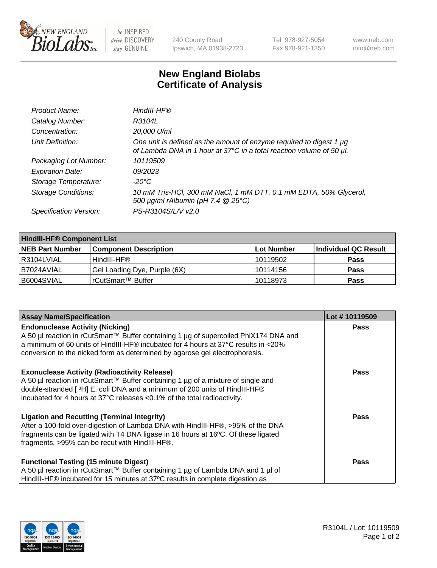

 $be$  INSPIRED drive DISCOVERY stay GENUINE

240 County Road Ipswich, MA 01938-2723 Tel 978-927-5054 Fax 978-921-1350 www.neb.com info@neb.com

## **New England Biolabs Certificate of Analysis**

| HindIII-HF®                                                                                                                                 |
|---------------------------------------------------------------------------------------------------------------------------------------------|
| R3104L                                                                                                                                      |
| 20,000 U/ml                                                                                                                                 |
| One unit is defined as the amount of enzyme required to digest 1 µg<br>of Lambda DNA in 1 hour at 37°C in a total reaction volume of 50 µl. |
| 10119509                                                                                                                                    |
| 09/2023                                                                                                                                     |
| -20°C                                                                                                                                       |
| 10 mM Tris-HCl, 300 mM NaCl, 1 mM DTT, 0.1 mM EDTA, 50% Glycerol,<br>500 μg/ml rAlbumin (pH 7.4 @ 25°C)                                     |
| PS-R3104S/L/V v2.0                                                                                                                          |
|                                                                                                                                             |

| <b>HindIII-HF® Component List</b> |                              |            |                      |  |  |
|-----------------------------------|------------------------------|------------|----------------------|--|--|
| <b>NEB Part Number</b>            | <b>Component Description</b> | Lot Number | Individual QC Result |  |  |
| R3104LVIAL                        | HindIII-HF®                  | 10119502   | <b>Pass</b>          |  |  |
| B7024AVIAL                        | Gel Loading Dye, Purple (6X) | 10114156   | <b>Pass</b>          |  |  |
| B6004SVIAL                        | l rCutSmart™ Buffer          | 10118973   | <b>Pass</b>          |  |  |

| <b>Assay Name/Specification</b>                                                                                                                                                                                                                                                                                | Lot #10119509 |
|----------------------------------------------------------------------------------------------------------------------------------------------------------------------------------------------------------------------------------------------------------------------------------------------------------------|---------------|
| <b>Endonuclease Activity (Nicking)</b><br>  A 50 µl reaction in rCutSmart™ Buffer containing 1 µg of supercoiled PhiX174 DNA and<br>$\mid$ a minimum of 60 units of HindIII-HF® incubated for 4 hours at 37°C results in <20%                                                                                  | <b>Pass</b>   |
| conversion to the nicked form as determined by agarose gel electrophoresis.                                                                                                                                                                                                                                    |               |
| <b>Exonuclease Activity (Radioactivity Release)</b><br>A 50 µl reaction in rCutSmart™ Buffer containing 1 µg of a mixture of single and<br>double-stranded [ <sup>3</sup> H] E. coli DNA and a minimum of 200 units of HindIII-HF®<br>incubated for 4 hours at 37°C releases <0.1% of the total radioactivity. | <b>Pass</b>   |
| <b>Ligation and Recutting (Terminal Integrity)</b><br>After a 100-fold over-digestion of Lambda DNA with HindIII-HF®, >95% of the DNA<br>fragments can be ligated with T4 DNA ligase in 16 hours at 16°C. Of these ligated<br>fragments, >95% can be recut with HindIII-HF®.                                   | Pass          |
| <b>Functional Testing (15 minute Digest)</b>                                                                                                                                                                                                                                                                   | <b>Pass</b>   |
| A 50 µl reaction in rCutSmart™ Buffer containing 1 µg of Lambda DNA and 1 µl of<br>HindIII-HF® incubated for 15 minutes at 37°C results in complete digestion as                                                                                                                                               |               |